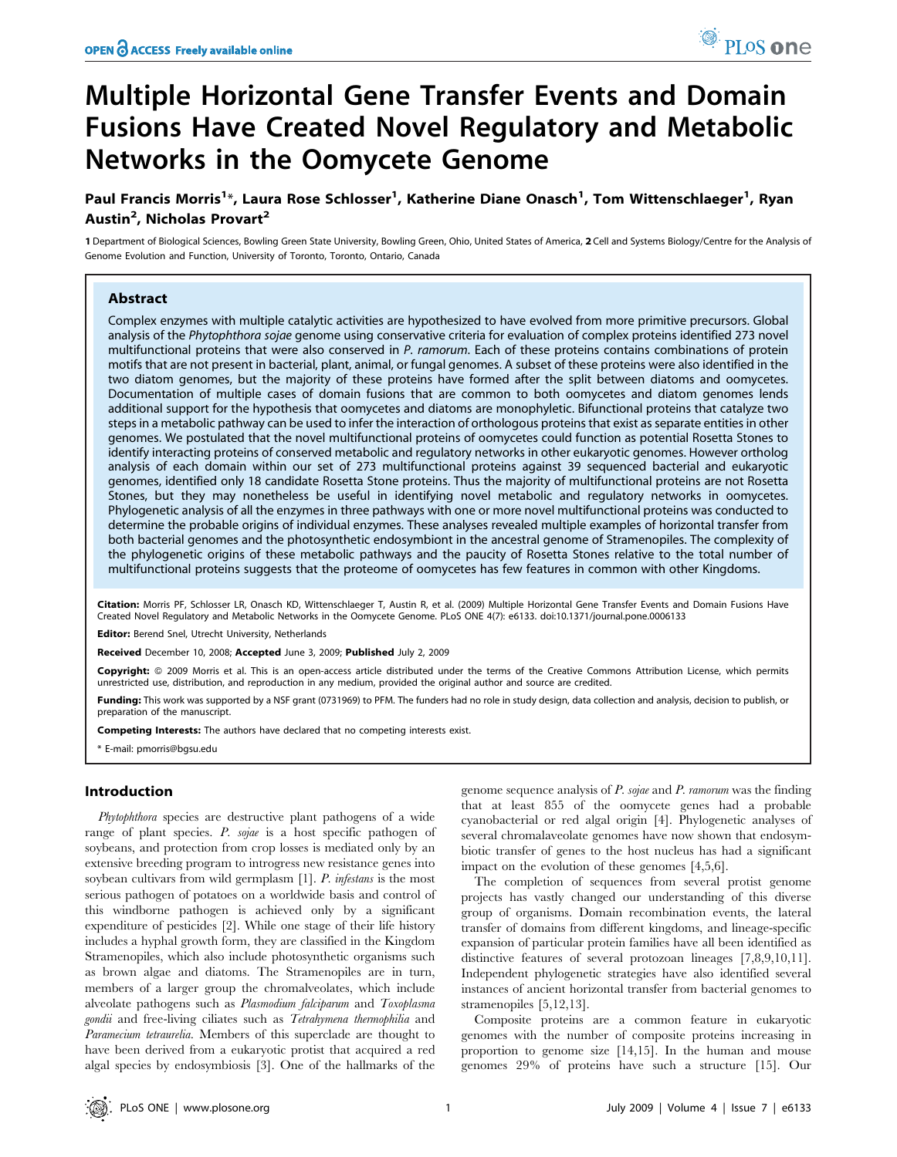# Multiple Horizontal Gene Transfer Events and Domain Fusions Have Created Novel Regulatory and Metabolic Networks in the Oomycete Genome

Paul Francis Morris<sup>1</sup>\*, Laura Rose Schlosser<sup>1</sup>, Katherine Diane Onasch<sup>1</sup>, Tom Wittenschlaeger<sup>1</sup>, Ryan Austin<sup>2</sup>, Nicholas Provart<sup>2</sup>

1 Department of Biological Sciences, Bowling Green State University, Bowling Green, Ohio, United States of America, 2 Cell and Systems Biology/Centre for the Analysis of Genome Evolution and Function, University of Toronto, Toronto, Ontario, Canada

## Abstract

Complex enzymes with multiple catalytic activities are hypothesized to have evolved from more primitive precursors. Global analysis of the Phytophthora sojae genome using conservative criteria for evaluation of complex proteins identified 273 novel multifunctional proteins that were also conserved in P. ramorum. Each of these proteins contains combinations of protein motifs that are not present in bacterial, plant, animal, or fungal genomes. A subset of these proteins were also identified in the two diatom genomes, but the majority of these proteins have formed after the split between diatoms and oomycetes. Documentation of multiple cases of domain fusions that are common to both oomycetes and diatom genomes lends additional support for the hypothesis that oomycetes and diatoms are monophyletic. Bifunctional proteins that catalyze two steps in a metabolic pathway can be used to infer the interaction of orthologous proteins that exist as separate entities in other genomes. We postulated that the novel multifunctional proteins of oomycetes could function as potential Rosetta Stones to identify interacting proteins of conserved metabolic and regulatory networks in other eukaryotic genomes. However ortholog analysis of each domain within our set of 273 multifunctional proteins against 39 sequenced bacterial and eukaryotic genomes, identified only 18 candidate Rosetta Stone proteins. Thus the majority of multifunctional proteins are not Rosetta Stones, but they may nonetheless be useful in identifying novel metabolic and regulatory networks in oomycetes. Phylogenetic analysis of all the enzymes in three pathways with one or more novel multifunctional proteins was conducted to determine the probable origins of individual enzymes. These analyses revealed multiple examples of horizontal transfer from both bacterial genomes and the photosynthetic endosymbiont in the ancestral genome of Stramenopiles. The complexity of the phylogenetic origins of these metabolic pathways and the paucity of Rosetta Stones relative to the total number of multifunctional proteins suggests that the proteome of oomycetes has few features in common with other Kingdoms.

Citation: Morris PF, Schlosser LR, Onasch KD, Wittenschlaeger T, Austin R, et al. (2009) Multiple Horizontal Gene Transfer Events and Domain Fusions Have Created Novel Regulatory and Metabolic Networks in the Oomycete Genome. PLoS ONE 4(7): e6133. doi:10.1371/journal.pone.0006133

Editor: Berend Snel, Utrecht University, Netherlands

Received December 10, 2008; Accepted June 3, 2009; Published July 2, 2009

Copyright: @ 2009 Morris et al. This is an open-access article distributed under the terms of the Creative Commons Attribution License, which permits unrestricted use, distribution, and reproduction in any medium, provided the original author and source are credited.

Funding: This work was supported by a NSF grant (0731969) to PFM. The funders had no role in study design, data collection and analysis, decision to publish, or preparation of the manuscript.

Competing Interests: The authors have declared that no competing interests exist.

\* E-mail: pmorris@bgsu.edu

## Introduction

Phytophthora species are destructive plant pathogens of a wide range of plant species. P. sojae is a host specific pathogen of soybeans, and protection from crop losses is mediated only by an extensive breeding program to introgress new resistance genes into soybean cultivars from wild germplasm [1]. P. infestans is the most serious pathogen of potatoes on a worldwide basis and control of this windborne pathogen is achieved only by a significant expenditure of pesticides [2]. While one stage of their life history includes a hyphal growth form, they are classified in the Kingdom Stramenopiles, which also include photosynthetic organisms such as brown algae and diatoms. The Stramenopiles are in turn, members of a larger group the chromalveolates, which include alveolate pathogens such as Plasmodium falciparum and Toxoplasma gondii and free-living ciliates such as Tetrahymena thermophilia and Paramecium tetraurelia. Members of this superclade are thought to have been derived from a eukaryotic protist that acquired a red algal species by endosymbiosis [3]. One of the hallmarks of the

genome sequence analysis of P. sojae and P. ramorum was the finding that at least 855 of the oomycete genes had a probable cyanobacterial or red algal origin [4]. Phylogenetic analyses of several chromalaveolate genomes have now shown that endosymbiotic transfer of genes to the host nucleus has had a significant impact on the evolution of these genomes [4,5,6].

The completion of sequences from several protist genome projects has vastly changed our understanding of this diverse group of organisms. Domain recombination events, the lateral transfer of domains from different kingdoms, and lineage-specific expansion of particular protein families have all been identified as distinctive features of several protozoan lineages [7,8,9,10,11]. Independent phylogenetic strategies have also identified several instances of ancient horizontal transfer from bacterial genomes to stramenopiles [5,12,13].

Composite proteins are a common feature in eukaryotic genomes with the number of composite proteins increasing in proportion to genome size [14,15]. In the human and mouse genomes 29% of proteins have such a structure [15]. Our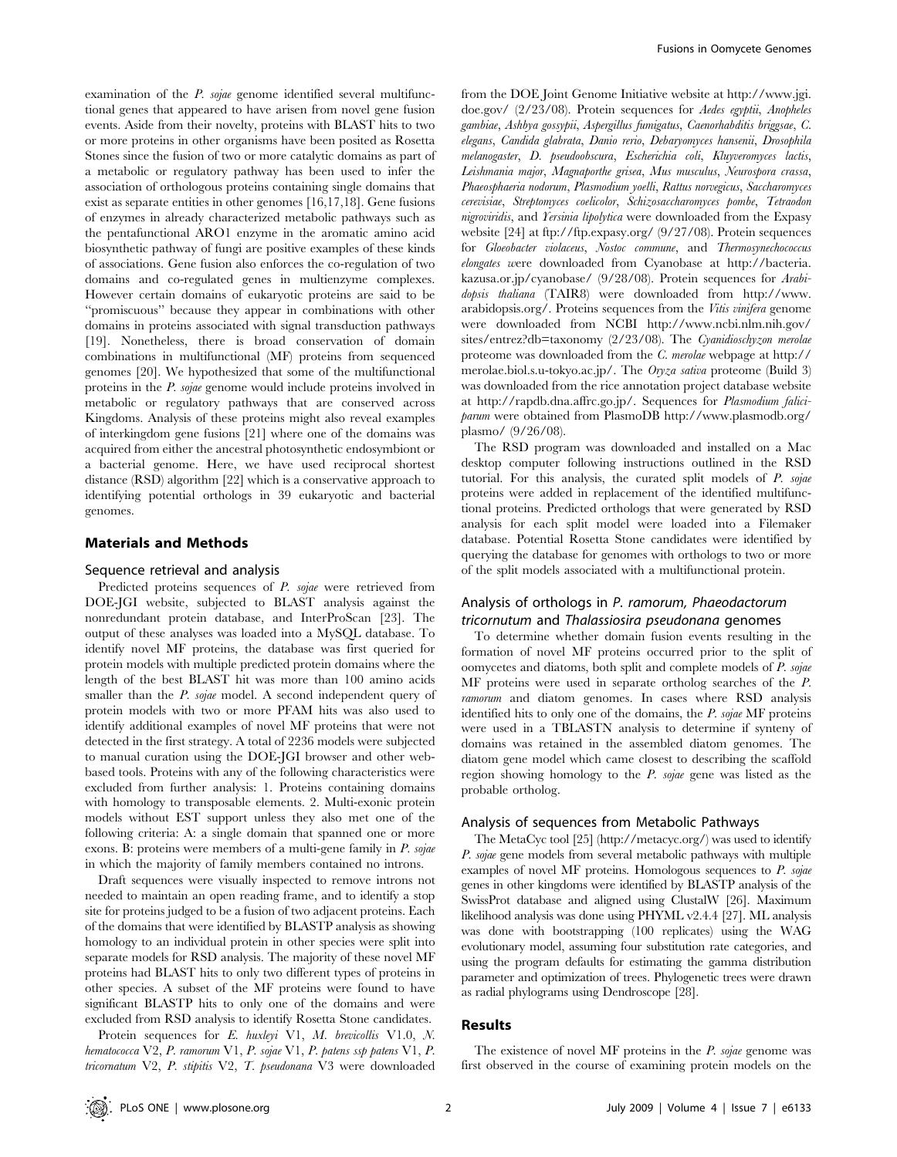examination of the *P. sojae* genome identified several multifunctional genes that appeared to have arisen from novel gene fusion events. Aside from their novelty, proteins with BLAST hits to two or more proteins in other organisms have been posited as Rosetta Stones since the fusion of two or more catalytic domains as part of a metabolic or regulatory pathway has been used to infer the association of orthologous proteins containing single domains that exist as separate entities in other genomes [16,17,18]. Gene fusions of enzymes in already characterized metabolic pathways such as the pentafunctional ARO1 enzyme in the aromatic amino acid biosynthetic pathway of fungi are positive examples of these kinds of associations. Gene fusion also enforces the co-regulation of two domains and co-regulated genes in multienzyme complexes. However certain domains of eukaryotic proteins are said to be ''promiscuous'' because they appear in combinations with other domains in proteins associated with signal transduction pathways [19]. Nonetheless, there is broad conservation of domain combinations in multifunctional (MF) proteins from sequenced genomes [20]. We hypothesized that some of the multifunctional proteins in the P. sojae genome would include proteins involved in metabolic or regulatory pathways that are conserved across Kingdoms. Analysis of these proteins might also reveal examples of interkingdom gene fusions [21] where one of the domains was acquired from either the ancestral photosynthetic endosymbiont or a bacterial genome. Here, we have used reciprocal shortest distance (RSD) algorithm [22] which is a conservative approach to identifying potential orthologs in 39 eukaryotic and bacterial genomes.

## Materials and Methods

#### Sequence retrieval and analysis

Predicted proteins sequences of P. sojae were retrieved from DOE-JGI website, subjected to BLAST analysis against the nonredundant protein database, and InterProScan [23]. The output of these analyses was loaded into a MySQL database. To identify novel MF proteins, the database was first queried for protein models with multiple predicted protein domains where the length of the best BLAST hit was more than 100 amino acids smaller than the *P. sojae* model. A second independent query of protein models with two or more PFAM hits was also used to identify additional examples of novel MF proteins that were not detected in the first strategy. A total of 2236 models were subjected to manual curation using the DOE-JGI browser and other webbased tools. Proteins with any of the following characteristics were excluded from further analysis: 1. Proteins containing domains with homology to transposable elements. 2. Multi-exonic protein models without EST support unless they also met one of the following criteria: A: a single domain that spanned one or more exons. B: proteins were members of a multi-gene family in P. sojae in which the majority of family members contained no introns.

Draft sequences were visually inspected to remove introns not needed to maintain an open reading frame, and to identify a stop site for proteins judged to be a fusion of two adjacent proteins. Each of the domains that were identified by BLASTP analysis as showing homology to an individual protein in other species were split into separate models for RSD analysis. The majority of these novel MF proteins had BLAST hits to only two different types of proteins in other species. A subset of the MF proteins were found to have significant BLASTP hits to only one of the domains and were excluded from RSD analysis to identify Rosetta Stone candidates.

Protein sequences for E. huxleyi V1, M. brevicollis V1.0, N. hematococca V2, P. ramorum V1, P. sojae V1, P. patens ssp patens V1, P. tricornatum V2, P. stipitis V2, T. pseudonana V3 were downloaded

from the DOE Joint Genome Initiative website at http://www.jgi. doe.gov/ (2/23/08). Protein sequences for Aedes egyptii, Anopheles gambiae, Ashbya gossypii, Aspergillus fumigatus, Caenorhabditis briggsae, C. elegans, Candida glabrata, Danio rerio, Debaryomyces hansenii, Drosophila melanogaster, D. pseudoobscura, Escherichia coli, Kluyveromyces lactis, Leishmania major, Magnaporthe grisea, Mus musculus, Neurospora crassa, Phaeosphaeria nodorum, Plasmodium yoelli, Rattus norvegicus, Saccharomyces cerevisiae, Streptomyces coelicolor, Schizosaccharomyces pombe, Tetraodon nigroviridis, and Yersinia lipolytica were downloaded from the Expasy website [24] at ftp://ftp.expasy.org/ (9/27/08). Protein sequences for Gloeobacter violaceus, Nostoc commune, and Thermosynechococcus elongates were downloaded from Cyanobase at http://bacteria. kazusa.or.jp/cyanobase/ (9/28/08). Protein sequences for Arabidopsis thaliana (TAIR8) were downloaded from http://www. arabidopsis.org/. Proteins sequences from the Vitis vinifera genome were downloaded from NCBI http://www.ncbi.nlm.nih.gov/ sites/entrez?db=taxonomy (2/23/08). The Cyanidioschyzon merolae proteome was downloaded from the C. merolae webpage at http:// merolae.biol.s.u-tokyo.ac.jp/. The Oryza sativa proteome (Build 3) was downloaded from the rice annotation project database website at http://rapdb.dna.affrc.go.jp/. Sequences for Plasmodium faliciparum were obtained from PlasmoDB http://www.plasmodb.org/ plasmo/ (9/26/08).

The RSD program was downloaded and installed on a Mac desktop computer following instructions outlined in the RSD tutorial. For this analysis, the curated split models of P. sojae proteins were added in replacement of the identified multifunctional proteins. Predicted orthologs that were generated by RSD analysis for each split model were loaded into a Filemaker database. Potential Rosetta Stone candidates were identified by querying the database for genomes with orthologs to two or more of the split models associated with a multifunctional protein.

## Analysis of orthologs in P. ramorum, Phaeodactorum tricornutum and Thalassiosira pseudonana genomes

To determine whether domain fusion events resulting in the formation of novel MF proteins occurred prior to the split of oomycetes and diatoms, both split and complete models of P. sojae MF proteins were used in separate ortholog searches of the P. ramorum and diatom genomes. In cases where RSD analysis identified hits to only one of the domains, the P. sojae MF proteins were used in a TBLASTN analysis to determine if synteny of domains was retained in the assembled diatom genomes. The diatom gene model which came closest to describing the scaffold region showing homology to the P. sojae gene was listed as the probable ortholog.

#### Analysis of sequences from Metabolic Pathways

The MetaCyc tool [25] (http://metacyc.org/) was used to identify P. sojae gene models from several metabolic pathways with multiple examples of novel MF proteins. Homologous sequences to  $P$ . sojae genes in other kingdoms were identified by BLASTP analysis of the SwissProt database and aligned using ClustalW [26]. Maximum likelihood analysis was done using PHYML v2.4.4 [27]. ML analysis was done with bootstrapping (100 replicates) using the WAG evolutionary model, assuming four substitution rate categories, and using the program defaults for estimating the gamma distribution parameter and optimization of trees. Phylogenetic trees were drawn as radial phylograms using Dendroscope [28].

## Results

The existence of novel MF proteins in the  $P$ . sojae genome was first observed in the course of examining protein models on the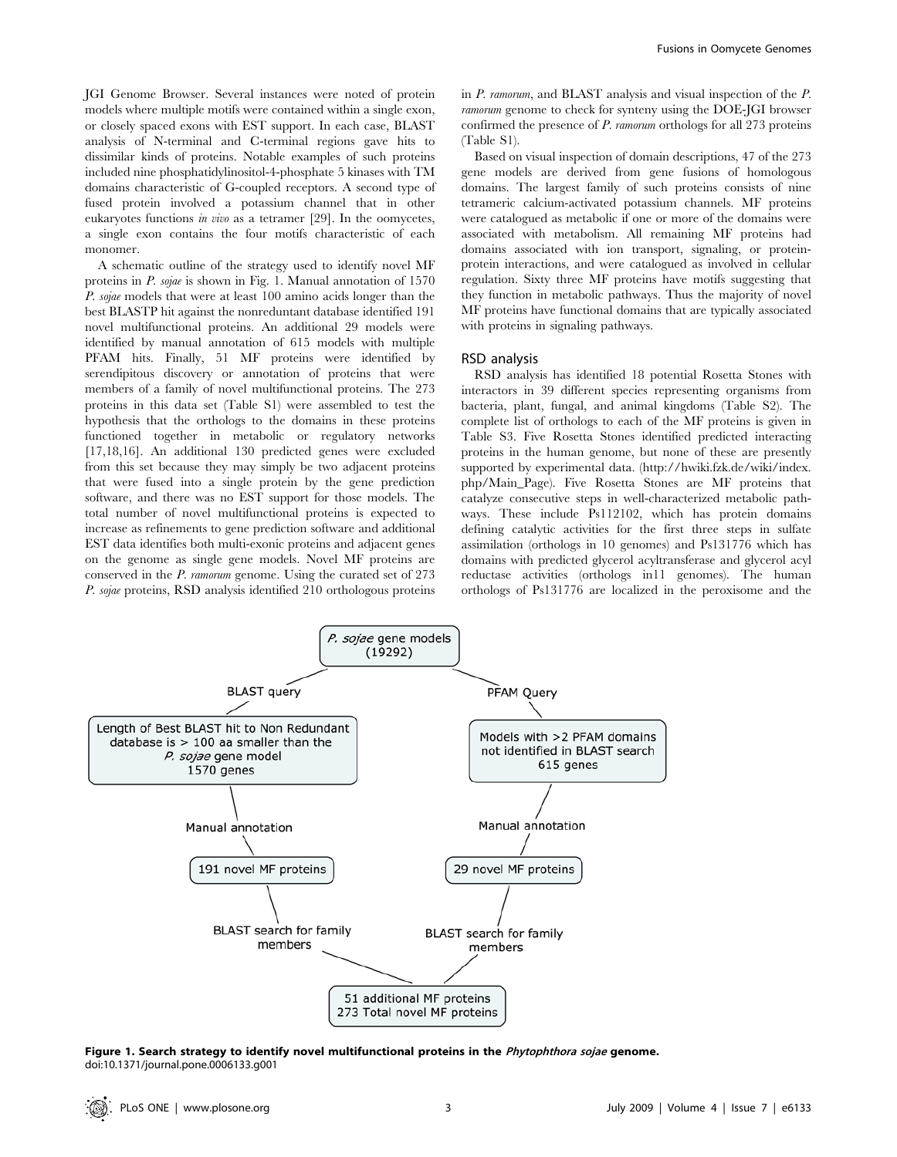JGI Genome Browser. Several instances were noted of protein models where multiple motifs were contained within a single exon, or closely spaced exons with EST support. In each case, BLAST analysis of N-terminal and C-terminal regions gave hits to dissimilar kinds of proteins. Notable examples of such proteins included nine phosphatidylinositol-4-phosphate 5 kinases with TM domains characteristic of G-coupled receptors. A second type of fused protein involved a potassium channel that in other eukaryotes functions in vivo as a tetramer [29]. In the oomycetes, a single exon contains the four motifs characteristic of each monomer.

A schematic outline of the strategy used to identify novel MF proteins in P. sojae is shown in Fig. 1. Manual annotation of 1570 P. sojae models that were at least 100 amino acids longer than the best BLASTP hit against the nonreduntant database identified 191 novel multifunctional proteins. An additional 29 models were identified by manual annotation of 615 models with multiple PFAM hits. Finally, 51 MF proteins were identified by serendipitous discovery or annotation of proteins that were members of a family of novel multifunctional proteins. The 273 proteins in this data set (Table S1) were assembled to test the hypothesis that the orthologs to the domains in these proteins functioned together in metabolic or regulatory networks [17,18,16]. An additional 130 predicted genes were excluded from this set because they may simply be two adjacent proteins that were fused into a single protein by the gene prediction software, and there was no EST support for those models. The total number of novel multifunctional proteins is expected to increase as refinements to gene prediction software and additional EST data identifies both multi-exonic proteins and adjacent genes on the genome as single gene models. Novel MF proteins are conserved in the P. ramorum genome. Using the curated set of 273 P. sojae proteins, RSD analysis identified 210 orthologous proteins in P. ramorum, and BLAST analysis and visual inspection of the P. ramorum genome to check for synteny using the DOE-JGI browser confirmed the presence of P. ramorum orthologs for all 273 proteins (Table S1).

Based on visual inspection of domain descriptions, 47 of the 273 gene models are derived from gene fusions of homologous domains. The largest family of such proteins consists of nine tetrameric calcium-activated potassium channels. MF proteins were catalogued as metabolic if one or more of the domains were associated with metabolism. All remaining MF proteins had domains associated with ion transport, signaling, or proteinprotein interactions, and were catalogued as involved in cellular regulation. Sixty three MF proteins have motifs suggesting that they function in metabolic pathways. Thus the majority of novel MF proteins have functional domains that are typically associated with proteins in signaling pathways.

## RSD analysis

RSD analysis has identified 18 potential Rosetta Stones with interactors in 39 different species representing organisms from bacteria, plant, fungal, and animal kingdoms (Table S2). The complete list of orthologs to each of the MF proteins is given in Table S3. Five Rosetta Stones identified predicted interacting proteins in the human genome, but none of these are presently supported by experimental data. (http://hwiki.fzk.de/wiki/index. php/Main\_Page). Five Rosetta Stones are MF proteins that catalyze consecutive steps in well-characterized metabolic pathways. These include Ps112102, which has protein domains defining catalytic activities for the first three steps in sulfate assimilation (orthologs in 10 genomes) and Ps131776 which has domains with predicted glycerol acyltransferase and glycerol acyl reductase activities (orthologs in11 genomes). The human orthologs of Ps131776 are localized in the peroxisome and the



Figure 1. Search strategy to identify novel multifunctional proteins in the Phytophthora sojae genome. doi:10.1371/journal.pone.0006133.g001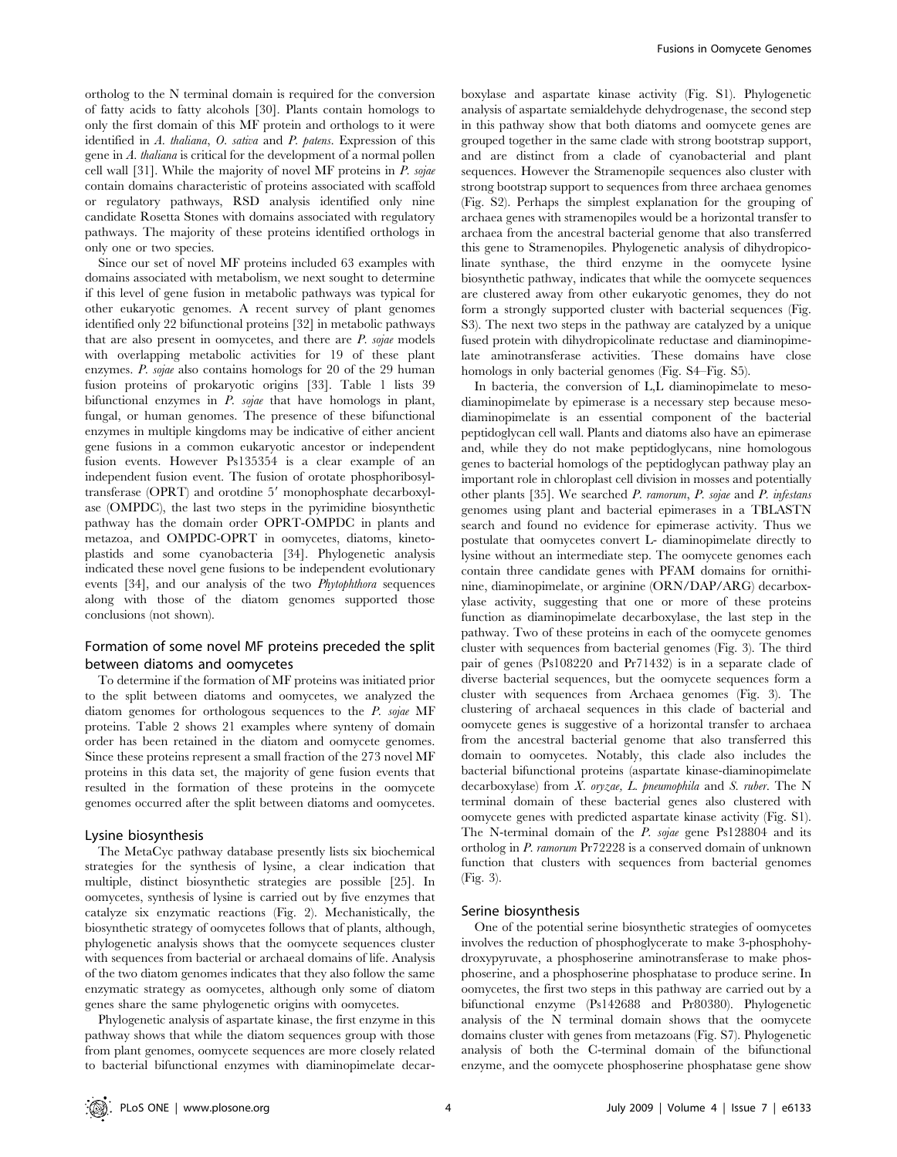ortholog to the N terminal domain is required for the conversion of fatty acids to fatty alcohols [30]. Plants contain homologs to only the first domain of this MF protein and orthologs to it were identified in A. thaliana, O. sativa and P. patens. Expression of this gene in A. thaliana is critical for the development of a normal pollen cell wall [31]. While the majority of novel MF proteins in P. sojae contain domains characteristic of proteins associated with scaffold or regulatory pathways, RSD analysis identified only nine candidate Rosetta Stones with domains associated with regulatory pathways. The majority of these proteins identified orthologs in only one or two species.

Since our set of novel MF proteins included 63 examples with domains associated with metabolism, we next sought to determine if this level of gene fusion in metabolic pathways was typical for other eukaryotic genomes. A recent survey of plant genomes identified only 22 bifunctional proteins [32] in metabolic pathways that are also present in oomycetes, and there are  $P$ , sojae models with overlapping metabolic activities for 19 of these plant enzymes. P. sojae also contains homologs for 20 of the 29 human fusion proteins of prokaryotic origins [33]. Table 1 lists 39 bifunctional enzymes in P. sojae that have homologs in plant, fungal, or human genomes. The presence of these bifunctional enzymes in multiple kingdoms may be indicative of either ancient gene fusions in a common eukaryotic ancestor or independent fusion events. However Ps135354 is a clear example of an independent fusion event. The fusion of orotate phosphoribosyltransferase (OPRT) and orotdine 5' monophosphate decarboxylase (OMPDC), the last two steps in the pyrimidine biosynthetic pathway has the domain order OPRT-OMPDC in plants and metazoa, and OMPDC-OPRT in oomycetes, diatoms, kinetoplastids and some cyanobacteria [34]. Phylogenetic analysis indicated these novel gene fusions to be independent evolutionary events [34], and our analysis of the two Phytophthora sequences along with those of the diatom genomes supported those conclusions (not shown).

## Formation of some novel MF proteins preceded the split between diatoms and oomycetes

To determine if the formation of MF proteins was initiated prior to the split between diatoms and oomycetes, we analyzed the diatom genomes for orthologous sequences to the P. sojae MF proteins. Table 2 shows 21 examples where synteny of domain order has been retained in the diatom and oomycete genomes. Since these proteins represent a small fraction of the 273 novel MF proteins in this data set, the majority of gene fusion events that resulted in the formation of these proteins in the oomycete genomes occurred after the split between diatoms and oomycetes.

#### Lysine biosynthesis

The MetaCyc pathway database presently lists six biochemical strategies for the synthesis of lysine, a clear indication that multiple, distinct biosynthetic strategies are possible [25]. In oomycetes, synthesis of lysine is carried out by five enzymes that catalyze six enzymatic reactions (Fig. 2). Mechanistically, the biosynthetic strategy of oomycetes follows that of plants, although, phylogenetic analysis shows that the oomycete sequences cluster with sequences from bacterial or archaeal domains of life. Analysis of the two diatom genomes indicates that they also follow the same enzymatic strategy as oomycetes, although only some of diatom genes share the same phylogenetic origins with oomycetes.

Phylogenetic analysis of aspartate kinase, the first enzyme in this pathway shows that while the diatom sequences group with those from plant genomes, oomycete sequences are more closely related to bacterial bifunctional enzymes with diaminopimelate decarboxylase and aspartate kinase activity (Fig. S1). Phylogenetic analysis of aspartate semialdehyde dehydrogenase, the second step in this pathway show that both diatoms and oomycete genes are grouped together in the same clade with strong bootstrap support, and are distinct from a clade of cyanobacterial and plant sequences. However the Stramenopile sequences also cluster with strong bootstrap support to sequences from three archaea genomes (Fig. S2). Perhaps the simplest explanation for the grouping of archaea genes with stramenopiles would be a horizontal transfer to archaea from the ancestral bacterial genome that also transferred this gene to Stramenopiles. Phylogenetic analysis of dihydropicolinate synthase, the third enzyme in the oomycete lysine biosynthetic pathway, indicates that while the oomycete sequences are clustered away from other eukaryotic genomes, they do not form a strongly supported cluster with bacterial sequences (Fig. S3). The next two steps in the pathway are catalyzed by a unique fused protein with dihydropicolinate reductase and diaminopimelate aminotransferase activities. These domains have close homologs in only bacterial genomes (Fig. S4–Fig. S5).

In bacteria, the conversion of L,L diaminopimelate to mesodiaminopimelate by epimerase is a necessary step because mesodiaminopimelate is an essential component of the bacterial peptidoglycan cell wall. Plants and diatoms also have an epimerase and, while they do not make peptidoglycans, nine homologous genes to bacterial homologs of the peptidoglycan pathway play an important role in chloroplast cell division in mosses and potentially other plants [35]. We searched P. ramorum, P. sojae and P. infestans genomes using plant and bacterial epimerases in a TBLASTN search and found no evidence for epimerase activity. Thus we postulate that oomycetes convert L- diaminopimelate directly to lysine without an intermediate step. The oomycete genomes each contain three candidate genes with PFAM domains for ornithinine, diaminopimelate, or arginine (ORN/DAP/ARG) decarboxylase activity, suggesting that one or more of these proteins function as diaminopimelate decarboxylase, the last step in the pathway. Two of these proteins in each of the oomycete genomes cluster with sequences from bacterial genomes (Fig. 3). The third pair of genes (Ps108220 and Pr71432) is in a separate clade of diverse bacterial sequences, but the oomycete sequences form a cluster with sequences from Archaea genomes (Fig. 3). The clustering of archaeal sequences in this clade of bacterial and oomycete genes is suggestive of a horizontal transfer to archaea from the ancestral bacterial genome that also transferred this domain to oomycetes. Notably, this clade also includes the bacterial bifunctional proteins (aspartate kinase-diaminopimelate decarboxylase) from *X. oryzae, L. pneumophila* and *S. ruber*. The N terminal domain of these bacterial genes also clustered with oomycete genes with predicted aspartate kinase activity (Fig. S1). The N-terminal domain of the P. sojae gene Ps128804 and its ortholog in P. ramorum Pr72228 is a conserved domain of unknown function that clusters with sequences from bacterial genomes (Fig. 3).

#### Serine biosynthesis

One of the potential serine biosynthetic strategies of oomycetes involves the reduction of phosphoglycerate to make 3-phosphohydroxypyruvate, a phosphoserine aminotransferase to make phosphoserine, and a phosphoserine phosphatase to produce serine. In oomycetes, the first two steps in this pathway are carried out by a bifunctional enzyme (Ps142688 and Pr80380). Phylogenetic analysis of the N terminal domain shows that the oomycete domains cluster with genes from metazoans (Fig. S7). Phylogenetic analysis of both the C-terminal domain of the bifunctional enzyme, and the oomycete phosphoserine phosphatase gene show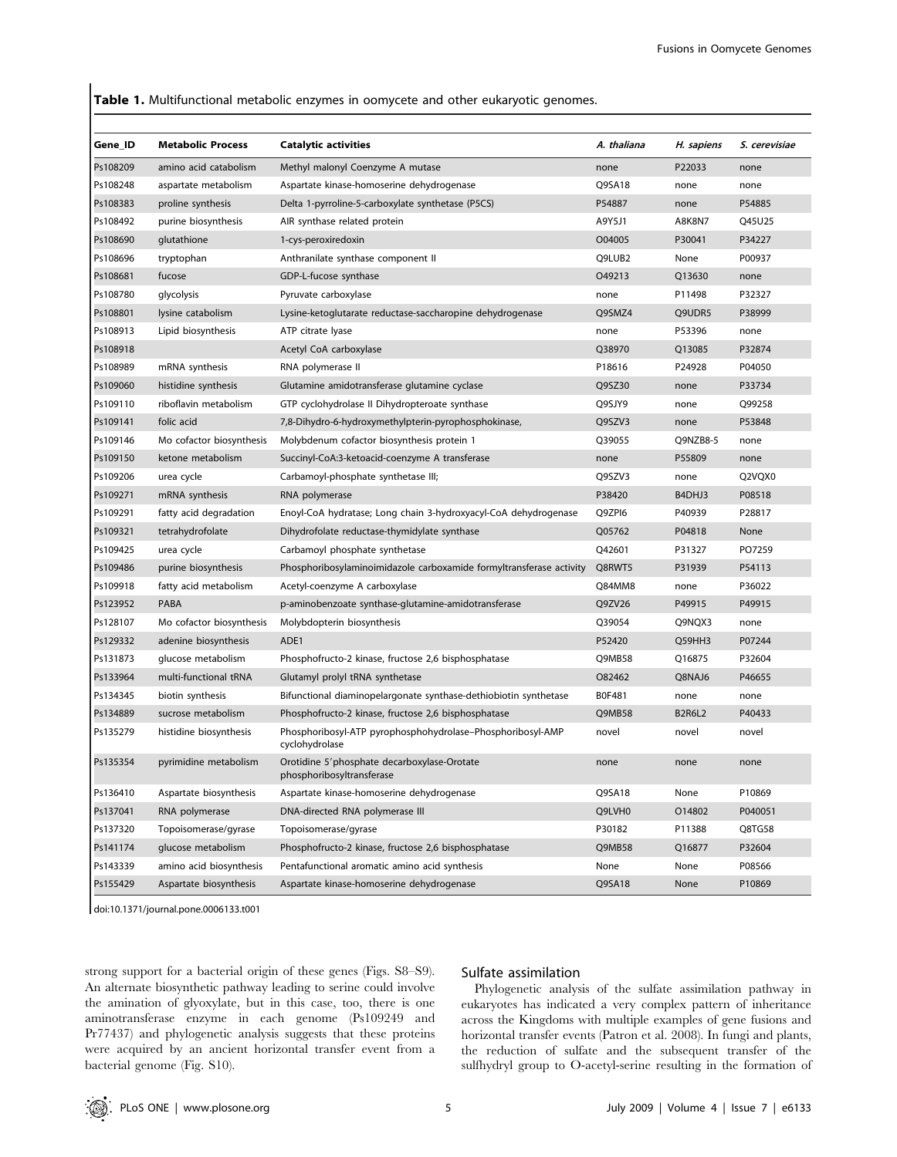## Table 1. Multifunctional metabolic enzymes in oomycete and other eukaryotic genomes.

| Gene_ID  | <b>Metabolic Process</b> | <b>Catalytic activities</b>                                                  | A. thaliana | H. sapiens    | S. cerevisiae |
|----------|--------------------------|------------------------------------------------------------------------------|-------------|---------------|---------------|
| Ps108209 | amino acid catabolism    | Methyl malonyl Coenzyme A mutase                                             | none        | P22033        | none          |
| Ps108248 | aspartate metabolism     | Aspartate kinase-homoserine dehydrogenase                                    | Q9SA18      | none          | none          |
| Ps108383 | proline synthesis        | Delta 1-pyrroline-5-carboxylate synthetase (P5CS)                            | P54887      | none          | P54885        |
| Ps108492 | purine biosynthesis      | AIR synthase related protein                                                 | A9Y5J1      | A8K8N7        | O45U25        |
| Ps108690 | glutathione              | 1-cys-peroxiredoxin                                                          | O04005      | P30041        | P34227        |
| Ps108696 | tryptophan               | Anthranilate synthase component II                                           | Q9LUB2      | None          | P00937        |
| Ps108681 | fucose                   | GDP-L-fucose synthase                                                        | 049213      | Q13630        | none          |
| Ps108780 | glycolysis               | Pyruvate carboxylase                                                         | none        | P11498        | P32327        |
| Ps108801 | lysine catabolism        | Lysine-ketoglutarate reductase-saccharopine dehydrogenase                    | Q9SMZ4      | Q9UDR5        | P38999        |
| Ps108913 | Lipid biosynthesis       | ATP citrate lyase                                                            | none        | P53396        | none          |
| Ps108918 |                          | Acetyl CoA carboxylase                                                       | Q38970      | Q13085        | P32874        |
| Ps108989 | mRNA synthesis           | RNA polymerase II                                                            | P18616      | P24928        | P04050        |
| Ps109060 | histidine synthesis      | Glutamine amidotransferase glutamine cyclase                                 | Q9SZ30      | none          | P33734        |
| Ps109110 | riboflavin metabolism    | GTP cyclohydrolase II Dihydropteroate synthase                               | Q9SJY9      | none          | Q99258        |
| Ps109141 | folic acid               | 7,8-Dihydro-6-hydroxymethylpterin-pyrophosphokinase,                         | Q9SZV3      | none          | P53848        |
| Ps109146 | Mo cofactor biosynthesis | Molybdenum cofactor biosynthesis protein 1                                   | Q39055      | Q9NZB8-5      | none          |
| Ps109150 | ketone metabolism        | Succinyl-CoA:3-ketoacid-coenzyme A transferase                               | none        | P55809        | none          |
| Ps109206 | urea cycle               | Carbamoyl-phosphate synthetase III;                                          | Q9SZV3      | none          | Q2VQX0        |
| Ps109271 | mRNA synthesis           | RNA polymerase                                                               | P38420      | B4DHJ3        | P08518        |
| Ps109291 | fatty acid degradation   | Enoyl-CoA hydratase; Long chain 3-hydroxyacyl-CoA dehydrogenase              | Q9ZPI6      | P40939        | P28817        |
| Ps109321 | tetrahydrofolate         | Dihydrofolate reductase-thymidylate synthase                                 | Q05762      | P04818        | None          |
| Ps109425 | urea cycle               | Carbamoyl phosphate synthetase                                               | Q42601      | P31327        | PO7259        |
| Ps109486 | purine biosynthesis      | Phosphoribosylaminoimidazole carboxamide formyltransferase activity          | Q8RWT5      | P31939        | P54113        |
| Ps109918 | fatty acid metabolism    | Acetyl-coenzyme A carboxylase                                                | Q84MM8      | none          | P36022        |
| Ps123952 | PABA                     | p-aminobenzoate synthase-glutamine-amidotransferase                          | Q9ZV26      | P49915        | P49915        |
| Ps128107 | Mo cofactor biosynthesis | Molybdopterin biosynthesis                                                   | Q39054      | Q9NQX3        | none          |
| Ps129332 | adenine biosynthesis     | ADE1                                                                         | P52420      | Q59HH3        | P07244        |
| Ps131873 | glucose metabolism       | Phosphofructo-2 kinase, fructose 2,6 bisphosphatase                          | Q9MB58      | Q16875        | P32604        |
| Ps133964 | multi-functional tRNA    | Glutamyl prolyl tRNA synthetase                                              | O82462      | Q8NAJ6        | P46655        |
| Ps134345 | biotin synthesis         | Bifunctional diaminopelargonate synthase-dethiobiotin synthetase             | B0F481      | none          | none          |
| Ps134889 | sucrose metabolism       | Phosphofructo-2 kinase, fructose 2,6 bisphosphatase                          | Q9MB58      | <b>B2R6L2</b> | P40433        |
| Ps135279 | histidine biosynthesis   | Phosphoribosyl-ATP pyrophosphohydrolase-Phosphoribosyl-AMP<br>cyclohydrolase | novel       | novel         | novel         |
| Ps135354 | pyrimidine metabolism    | Orotidine 5'phosphate decarboxylase-Orotate<br>phosphoribosyltransferase     | none        | none          | none          |
| Ps136410 | Aspartate biosynthesis   | Aspartate kinase-homoserine dehydrogenase                                    | Q9SA18      | None          | P10869        |
| Ps137041 | RNA polymerase           | DNA-directed RNA polymerase III                                              | Q9LVH0      | 014802        | P040051       |
| Ps137320 | Topoisomerase/gyrase     | Topoisomerase/gyrase                                                         | P30182      | P11388        | Q8TG58        |
| Ps141174 | glucose metabolism       | Phosphofructo-2 kinase, fructose 2,6 bisphosphatase                          | Q9MB58      | Q16877        | P32604        |
| Ps143339 | amino acid biosynthesis  | Pentafunctional aromatic amino acid synthesis                                | None        | None          | P08566        |
| Ps155429 | Aspartate biosynthesis   | Aspartate kinase-homoserine dehydrogenase                                    | Q9SA18      | None          | P10869        |

doi:10.1371/journal.pone.0006133.t001

strong support for a bacterial origin of these genes (Figs. S8–S9). An alternate biosynthetic pathway leading to serine could involve the amination of glyoxylate, but in this case, too, there is one aminotransferase enzyme in each genome (Ps109249 and Pr77437) and phylogenetic analysis suggests that these proteins were acquired by an ancient horizontal transfer event from a bacterial genome (Fig. S10).

# Sulfate assimilation

Phylogenetic analysis of the sulfate assimilation pathway in eukaryotes has indicated a very complex pattern of inheritance across the Kingdoms with multiple examples of gene fusions and horizontal transfer events (Patron et al. 2008). In fungi and plants, the reduction of sulfate and the subsequent transfer of the sulfhydryl group to O-acetyl-serine resulting in the formation of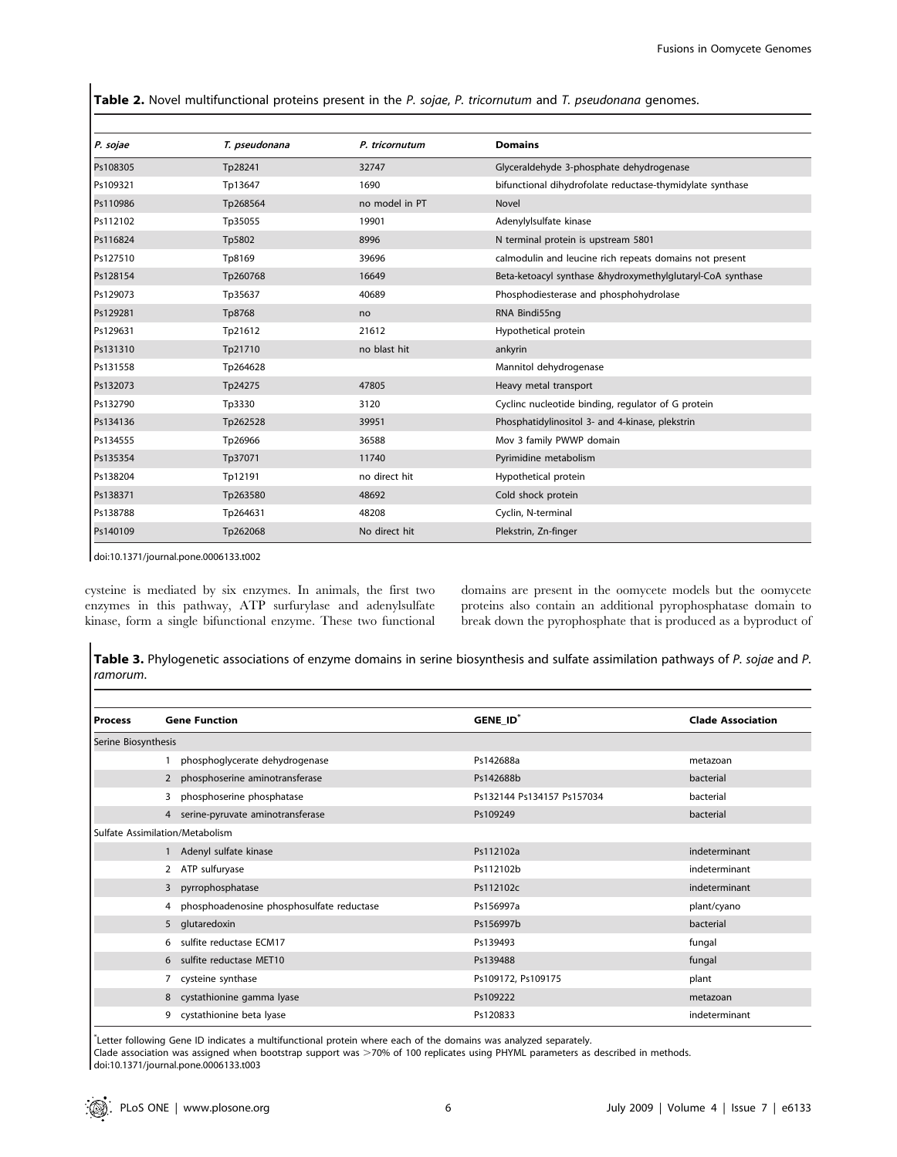Table 2. Novel multifunctional proteins present in the P. sojae, P. tricornutum and T. pseudonana genomes.

| P. sojae | T. pseudonana | P. tricornutum | <b>Domains</b>                                             |
|----------|---------------|----------------|------------------------------------------------------------|
| Ps108305 | Tp28241       | 32747          | Glyceraldehyde 3-phosphate dehydrogenase                   |
| Ps109321 | Tp13647       | 1690           | bifunctional dihydrofolate reductase-thymidylate synthase  |
| Ps110986 | Tp268564      | no model in PT | Novel                                                      |
| Ps112102 | Tp35055       | 19901          | Adenylylsulfate kinase                                     |
| Ps116824 | Tp5802        | 8996           | N terminal protein is upstream 5801                        |
| Ps127510 | Tp8169        | 39696          | calmodulin and leucine rich repeats domains not present    |
| Ps128154 | Tp260768      | 16649          | Beta-ketoacyl synthase &hydroxymethylglutaryl-CoA synthase |
| Ps129073 | Tp35637       | 40689          | Phosphodiesterase and phosphohydrolase                     |
| Ps129281 | Tp8768        | no             | RNA Bindi55ng                                              |
| Ps129631 | Tp21612       | 21612          | Hypothetical protein                                       |
| Ps131310 | Tp21710       | no blast hit   | ankyrin                                                    |
| Ps131558 | Tp264628      |                | Mannitol dehydrogenase                                     |
| Ps132073 | Tp24275       | 47805          | Heavy metal transport                                      |
| Ps132790 | Tp3330        | 3120           | Cyclinc nucleotide binding, regulator of G protein         |
| Ps134136 | Tp262528      | 39951          | Phosphatidylinositol 3- and 4-kinase, plekstrin            |
| Ps134555 | Tp26966       | 36588          | Mov 3 family PWWP domain                                   |
| Ps135354 | Tp37071       | 11740          | Pyrimidine metabolism                                      |
| Ps138204 | Tp12191       | no direct hit  | Hypothetical protein                                       |
| Ps138371 | Tp263580      | 48692          | Cold shock protein                                         |
| Ps138788 | Tp264631      | 48208          | Cyclin, N-terminal                                         |
| Ps140109 | Tp262068      | No direct hit  | Plekstrin, Zn-finger                                       |

doi:10.1371/journal.pone.0006133.t002

cysteine is mediated by six enzymes. In animals, the first two enzymes in this pathway, ATP surfurylase and adenylsulfate kinase, form a single bifunctional enzyme. These two functional domains are present in the oomycete models but the oomycete proteins also contain an additional pyrophosphatase domain to break down the pyrophosphate that is produced as a byproduct of

Table 3. Phylogenetic associations of enzyme domains in serine biosynthesis and sulfate assimilation pathways of P. sojae and P. ramorum.

| <b>Process</b>      | <b>Gene Function</b>                           | GENE ID <sup>*</sup>       | <b>Clade Association</b> |
|---------------------|------------------------------------------------|----------------------------|--------------------------|
| Serine Biosynthesis |                                                |                            |                          |
|                     | phosphoglycerate dehydrogenase                 | Ps142688a                  | metazoan                 |
|                     | 2 phosphoserine aminotransferase               | Ps142688b                  | bacterial                |
|                     | phosphoserine phosphatase<br>3                 | Ps132144 Ps134157 Ps157034 | bacterial                |
|                     | 4 serine-pyruvate aminotransferase             | Ps109249                   | bacterial                |
|                     | Sulfate Assimilation/Metabolism                |                            |                          |
|                     | Adenyl sulfate kinase                          | Ps112102a                  | indeterminant            |
|                     | ATP sulfuryase<br>2                            | Ps112102b                  | indeterminant            |
|                     | pyrrophosphatase<br>$\overline{3}$             | Ps112102c                  | indeterminant            |
|                     | phosphoadenosine phosphosulfate reductase<br>4 | Ps156997a                  | plant/cyano              |
|                     | 5 glutaredoxin                                 | Ps156997b                  | bacterial                |
|                     | sulfite reductase ECM17<br>6                   | Ps139493                   | fungal                   |
|                     | 6 sulfite reductase MET10                      | Ps139488                   | fungal                   |
|                     | cysteine synthase                              | Ps109172, Ps109175         | plant                    |
|                     | cystathionine gamma lyase<br>8                 | Ps109222                   | metazoan                 |
|                     | cystathionine beta lyase<br>9                  | Ps120833                   | indeterminant            |

\* Letter following Gene ID indicates a multifunctional protein where each of the domains was analyzed separately. Clade association was assigned when bootstrap support was >70% of 100 replicates using PHYML parameters as described in methods. doi:10.1371/journal.pone.0006133.t003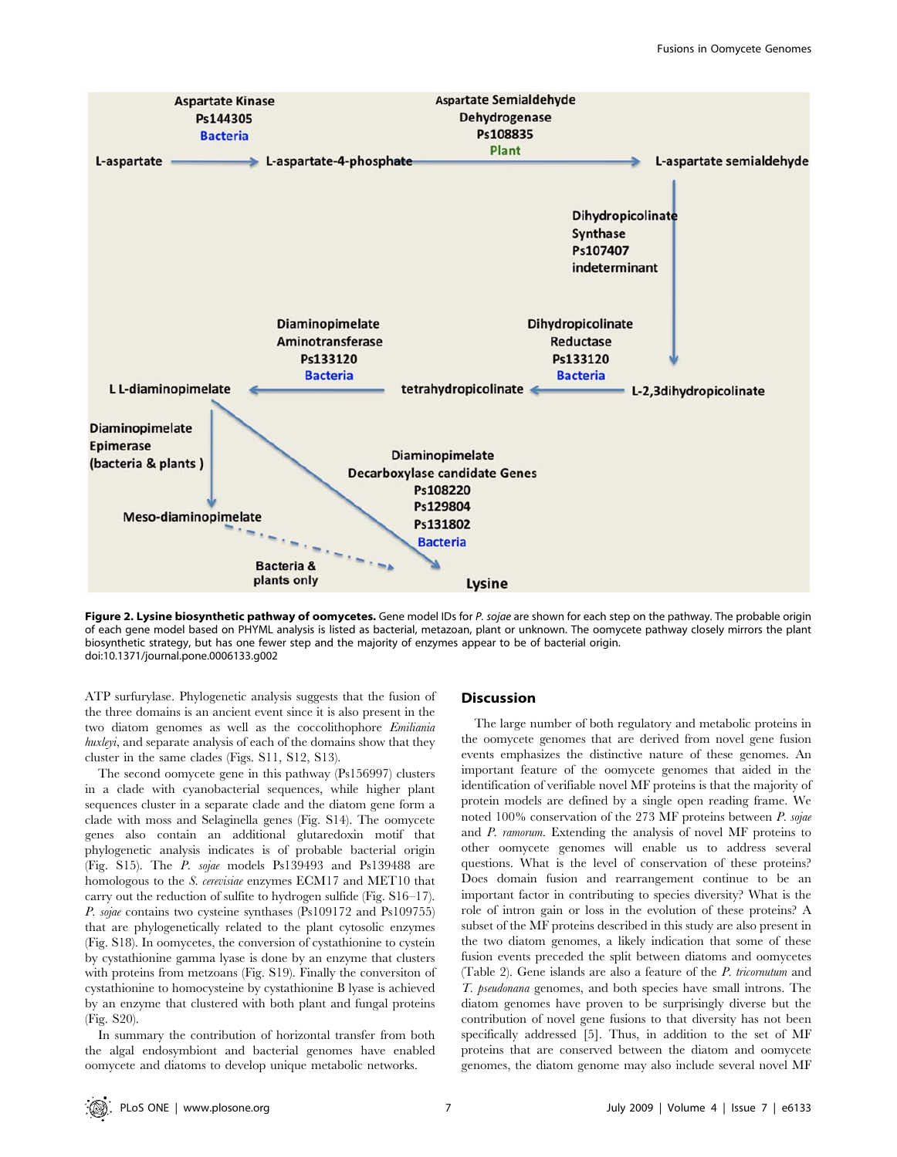

Figure 2. Lysine biosynthetic pathway of oomycetes. Gene model IDs for P. sojae are shown for each step on the pathway. The probable origin of each gene model based on PHYML analysis is listed as bacterial, metazoan, plant or unknown. The oomycete pathway closely mirrors the plant biosynthetic strategy, but has one fewer step and the majority of enzymes appear to be of bacterial origin. doi:10.1371/journal.pone.0006133.g002

ATP surfurylase. Phylogenetic analysis suggests that the fusion of the three domains is an ancient event since it is also present in the two diatom genomes as well as the coccolithophore Emiliania huxleyi, and separate analysis of each of the domains show that they cluster in the same clades (Figs. S11, S12, S13).

The second oomycete gene in this pathway (Ps156997) clusters in a clade with cyanobacterial sequences, while higher plant sequences cluster in a separate clade and the diatom gene form a clade with moss and Selaginella genes (Fig. S14). The oomycete genes also contain an additional glutaredoxin motif that phylogenetic analysis indicates is of probable bacterial origin (Fig. S15). The P. sojae models Ps139493 and Ps139488 are homologous to the S. cerevisiae enzymes ECM17 and MET10 that carry out the reduction of sulfite to hydrogen sulfide (Fig. S16–17). P. sojae contains two cysteine synthases (Ps109172 and Ps109755) that are phylogenetically related to the plant cytosolic enzymes (Fig. S18). In oomycetes, the conversion of cystathionine to cystein by cystathionine gamma lyase is done by an enzyme that clusters with proteins from metzoans (Fig. S19). Finally the conversiton of cystathionine to homocysteine by cystathionine B lyase is achieved by an enzyme that clustered with both plant and fungal proteins (Fig. S20).

In summary the contribution of horizontal transfer from both the algal endosymbiont and bacterial genomes have enabled oomycete and diatoms to develop unique metabolic networks.

## **Discussion**

The large number of both regulatory and metabolic proteins in the oomycete genomes that are derived from novel gene fusion events emphasizes the distinctive nature of these genomes. An important feature of the oomycete genomes that aided in the identification of verifiable novel MF proteins is that the majority of protein models are defined by a single open reading frame. We noted 100% conservation of the 273 MF proteins between P. sojae and P. ramorum. Extending the analysis of novel MF proteins to other oomycete genomes will enable us to address several questions. What is the level of conservation of these proteins? Does domain fusion and rearrangement continue to be an important factor in contributing to species diversity? What is the role of intron gain or loss in the evolution of these proteins? A subset of the MF proteins described in this study are also present in the two diatom genomes, a likely indication that some of these fusion events preceded the split between diatoms and oomycetes (Table 2). Gene islands are also a feature of the P. tricornutum and T. pseudonana genomes, and both species have small introns. The diatom genomes have proven to be surprisingly diverse but the contribution of novel gene fusions to that diversity has not been specifically addressed [5]. Thus, in addition to the set of MF proteins that are conserved between the diatom and oomycete genomes, the diatom genome may also include several novel MF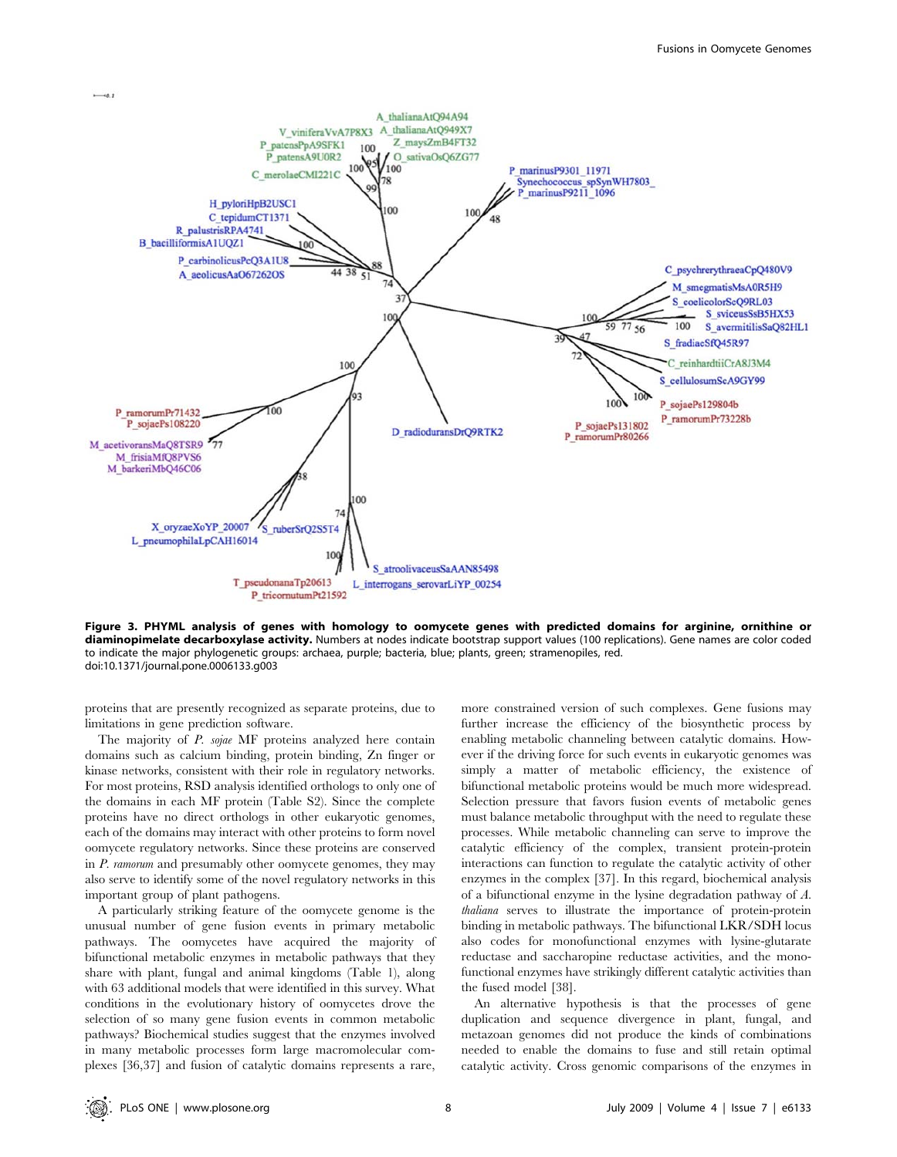

Figure 3. PHYML analysis of genes with homology to oomycete genes with predicted domains for arginine, ornithine or diaminopimelate decarboxylase activity. Numbers at nodes indicate bootstrap support values (100 replications). Gene names are color coded to indicate the major phylogenetic groups: archaea, purple; bacteria, blue; plants, green; stramenopiles, red. doi:10.1371/journal.pone.0006133.g003

proteins that are presently recognized as separate proteins, due to limitations in gene prediction software.

The majority of P. sojae MF proteins analyzed here contain domains such as calcium binding, protein binding, Zn finger or kinase networks, consistent with their role in regulatory networks. For most proteins, RSD analysis identified orthologs to only one of the domains in each MF protein (Table S2). Since the complete proteins have no direct orthologs in other eukaryotic genomes, each of the domains may interact with other proteins to form novel oomycete regulatory networks. Since these proteins are conserved in P. ramorum and presumably other oomycete genomes, they may also serve to identify some of the novel regulatory networks in this important group of plant pathogens.

A particularly striking feature of the oomycete genome is the unusual number of gene fusion events in primary metabolic pathways. The oomycetes have acquired the majority of bifunctional metabolic enzymes in metabolic pathways that they share with plant, fungal and animal kingdoms (Table 1), along with 63 additional models that were identified in this survey. What conditions in the evolutionary history of oomycetes drove the selection of so many gene fusion events in common metabolic pathways? Biochemical studies suggest that the enzymes involved in many metabolic processes form large macromolecular complexes [36,37] and fusion of catalytic domains represents a rare,

more constrained version of such complexes. Gene fusions may further increase the efficiency of the biosynthetic process by enabling metabolic channeling between catalytic domains. However if the driving force for such events in eukaryotic genomes was simply a matter of metabolic efficiency, the existence of bifunctional metabolic proteins would be much more widespread. Selection pressure that favors fusion events of metabolic genes must balance metabolic throughput with the need to regulate these processes. While metabolic channeling can serve to improve the catalytic efficiency of the complex, transient protein-protein interactions can function to regulate the catalytic activity of other enzymes in the complex [37]. In this regard, biochemical analysis of a bifunctional enzyme in the lysine degradation pathway of A. thaliana serves to illustrate the importance of protein-protein binding in metabolic pathways. The bifunctional LKR/SDH locus also codes for monofunctional enzymes with lysine-glutarate reductase and saccharopine reductase activities, and the monofunctional enzymes have strikingly different catalytic activities than the fused model [38].

An alternative hypothesis is that the processes of gene duplication and sequence divergence in plant, fungal, and metazoan genomes did not produce the kinds of combinations needed to enable the domains to fuse and still retain optimal catalytic activity. Cross genomic comparisons of the enzymes in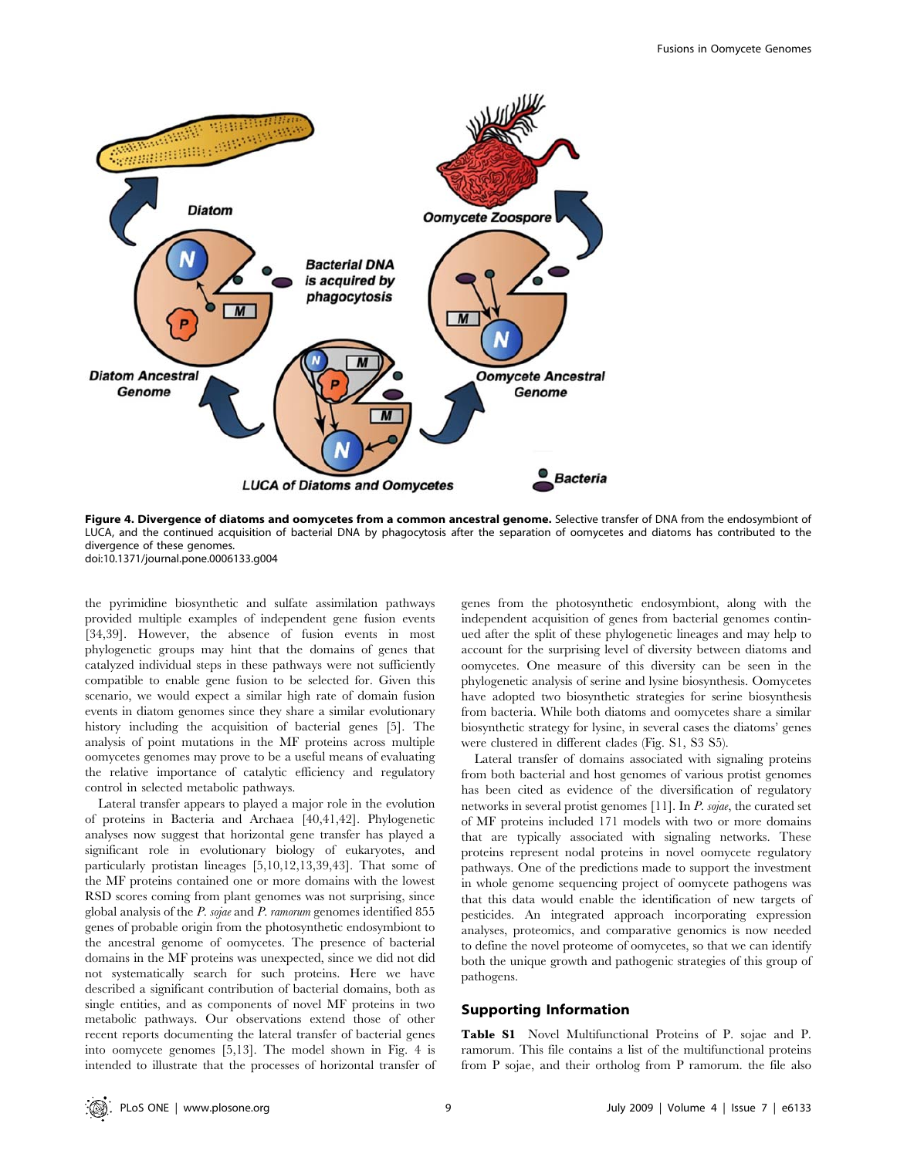

Figure 4. Divergence of diatoms and oomycetes from a common ancestral genome. Selective transfer of DNA from the endosymbiont of LUCA, and the continued acquisition of bacterial DNA by phagocytosis after the separation of oomycetes and diatoms has contributed to the divergence of these genomes. doi:10.1371/journal.pone.0006133.g004

the pyrimidine biosynthetic and sulfate assimilation pathways provided multiple examples of independent gene fusion events [34,39]. However, the absence of fusion events in most phylogenetic groups may hint that the domains of genes that catalyzed individual steps in these pathways were not sufficiently compatible to enable gene fusion to be selected for. Given this scenario, we would expect a similar high rate of domain fusion events in diatom genomes since they share a similar evolutionary history including the acquisition of bacterial genes [5]. The analysis of point mutations in the MF proteins across multiple oomycetes genomes may prove to be a useful means of evaluating the relative importance of catalytic efficiency and regulatory control in selected metabolic pathways.

Lateral transfer appears to played a major role in the evolution of proteins in Bacteria and Archaea [40,41,42]. Phylogenetic analyses now suggest that horizontal gene transfer has played a significant role in evolutionary biology of eukaryotes, and particularly protistan lineages [5,10,12,13,39,43]. That some of the MF proteins contained one or more domains with the lowest RSD scores coming from plant genomes was not surprising, since global analysis of the P. sojae and P. ramorum genomes identified 855 genes of probable origin from the photosynthetic endosymbiont to the ancestral genome of oomycetes. The presence of bacterial domains in the MF proteins was unexpected, since we did not did not systematically search for such proteins. Here we have described a significant contribution of bacterial domains, both as single entities, and as components of novel MF proteins in two metabolic pathways. Our observations extend those of other recent reports documenting the lateral transfer of bacterial genes into oomycete genomes [5,13]. The model shown in Fig. 4 is intended to illustrate that the processes of horizontal transfer of

genes from the photosynthetic endosymbiont, along with the independent acquisition of genes from bacterial genomes continued after the split of these phylogenetic lineages and may help to account for the surprising level of diversity between diatoms and oomycetes. One measure of this diversity can be seen in the phylogenetic analysis of serine and lysine biosynthesis. Oomycetes have adopted two biosynthetic strategies for serine biosynthesis from bacteria. While both diatoms and oomycetes share a similar biosynthetic strategy for lysine, in several cases the diatoms' genes were clustered in different clades (Fig. S1, S3 S5).

Lateral transfer of domains associated with signaling proteins from both bacterial and host genomes of various protist genomes has been cited as evidence of the diversification of regulatory networks in several protist genomes [11]. In P. sojae, the curated set of MF proteins included 171 models with two or more domains that are typically associated with signaling networks. These proteins represent nodal proteins in novel oomycete regulatory pathways. One of the predictions made to support the investment in whole genome sequencing project of oomycete pathogens was that this data would enable the identification of new targets of pesticides. An integrated approach incorporating expression analyses, proteomics, and comparative genomics is now needed to define the novel proteome of oomycetes, so that we can identify both the unique growth and pathogenic strategies of this group of pathogens.

## Supporting Information

Table S1 Novel Multifunctional Proteins of P. sojae and P. ramorum. This file contains a list of the multifunctional proteins from P sojae, and their ortholog from P ramorum. the file also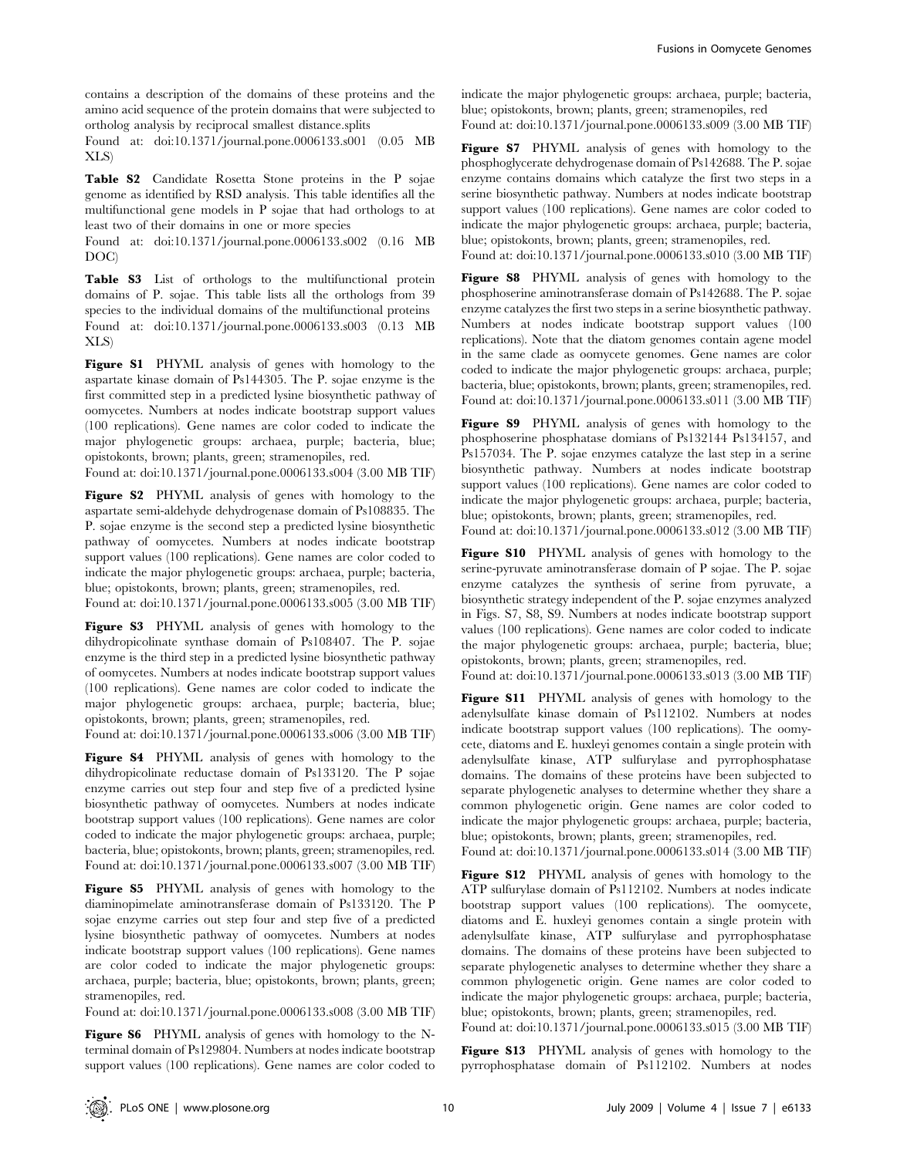contains a description of the domains of these proteins and the amino acid sequence of the protein domains that were subjected to ortholog analysis by reciprocal smallest distance.splits

Found at: doi:10.1371/journal.pone.0006133.s001 (0.05 MB XLS)

Table S2 Candidate Rosetta Stone proteins in the P sojae genome as identified by RSD analysis. This table identifies all the multifunctional gene models in P sojae that had orthologs to at least two of their domains in one or more species

Found at: doi:10.1371/journal.pone.0006133.s002 (0.16 MB DOC)

Table S3 List of orthologs to the multifunctional protein domains of P. sojae. This table lists all the orthologs from 39 species to the individual domains of the multifunctional proteins Found at: doi:10.1371/journal.pone.0006133.s003 (0.13 MB XLS)

Figure S1 PHYML analysis of genes with homology to the aspartate kinase domain of Ps144305. The P. sojae enzyme is the first committed step in a predicted lysine biosynthetic pathway of oomycetes. Numbers at nodes indicate bootstrap support values (100 replications). Gene names are color coded to indicate the major phylogenetic groups: archaea, purple; bacteria, blue; opistokonts, brown; plants, green; stramenopiles, red.

Found at: doi:10.1371/journal.pone.0006133.s004 (3.00 MB TIF)

Figure S2 PHYML analysis of genes with homology to the aspartate semi-aldehyde dehydrogenase domain of Ps108835. The P. sojae enzyme is the second step a predicted lysine biosynthetic pathway of oomycetes. Numbers at nodes indicate bootstrap support values (100 replications). Gene names are color coded to indicate the major phylogenetic groups: archaea, purple; bacteria, blue; opistokonts, brown; plants, green; stramenopiles, red.

Found at: doi:10.1371/journal.pone.0006133.s005 (3.00 MB TIF)

Figure S3 PHYML analysis of genes with homology to the dihydropicolinate synthase domain of Ps108407. The P. sojae enzyme is the third step in a predicted lysine biosynthetic pathway of oomycetes. Numbers at nodes indicate bootstrap support values (100 replications). Gene names are color coded to indicate the major phylogenetic groups: archaea, purple; bacteria, blue; opistokonts, brown; plants, green; stramenopiles, red.

Found at: doi:10.1371/journal.pone.0006133.s006 (3.00 MB TIF)

Figure S4 PHYML analysis of genes with homology to the dihydropicolinate reductase domain of Ps133120. The P sojae enzyme carries out step four and step five of a predicted lysine biosynthetic pathway of oomycetes. Numbers at nodes indicate bootstrap support values (100 replications). Gene names are color coded to indicate the major phylogenetic groups: archaea, purple; bacteria, blue; opistokonts, brown; plants, green; stramenopiles, red. Found at: doi:10.1371/journal.pone.0006133.s007 (3.00 MB TIF)

Figure S5 PHYML analysis of genes with homology to the diaminopimelate aminotransferase domain of Ps133120. The P sojae enzyme carries out step four and step five of a predicted lysine biosynthetic pathway of oomycetes. Numbers at nodes indicate bootstrap support values (100 replications). Gene names are color coded to indicate the major phylogenetic groups: archaea, purple; bacteria, blue; opistokonts, brown; plants, green; stramenopiles, red.

Found at: doi:10.1371/journal.pone.0006133.s008 (3.00 MB TIF)

Figure S6 PHYML analysis of genes with homology to the Nterminal domain of Ps129804. Numbers at nodes indicate bootstrap support values (100 replications). Gene names are color coded to

indicate the major phylogenetic groups: archaea, purple; bacteria, blue; opistokonts, brown; plants, green; stramenopiles, red Found at: doi:10.1371/journal.pone.0006133.s009 (3.00 MB TIF)

Figure S7 PHYML analysis of genes with homology to the phosphoglycerate dehydrogenase domain of Ps142688. The P. sojae enzyme contains domains which catalyze the first two steps in a serine biosynthetic pathway. Numbers at nodes indicate bootstrap support values (100 replications). Gene names are color coded to indicate the major phylogenetic groups: archaea, purple; bacteria, blue; opistokonts, brown; plants, green; stramenopiles, red. Found at: doi:10.1371/journal.pone.0006133.s010 (3.00 MB TIF)

Figure S8 PHYML analysis of genes with homology to the phosphoserine aminotransferase domain of Ps142688. The P. sojae enzyme catalyzes the first two steps in a serine biosynthetic pathway. Numbers at nodes indicate bootstrap support values (100 replications). Note that the diatom genomes contain agene model in the same clade as oomycete genomes. Gene names are color coded to indicate the major phylogenetic groups: archaea, purple; bacteria, blue; opistokonts, brown; plants, green; stramenopiles, red. Found at: doi:10.1371/journal.pone.0006133.s011 (3.00 MB TIF)

Figure S9 PHYML analysis of genes with homology to the phosphoserine phosphatase domians of Ps132144 Ps134157, and Ps157034. The P. sojae enzymes catalyze the last step in a serine biosynthetic pathway. Numbers at nodes indicate bootstrap support values (100 replications). Gene names are color coded to indicate the major phylogenetic groups: archaea, purple; bacteria, blue; opistokonts, brown; plants, green; stramenopiles, red.

Found at: doi:10.1371/journal.pone.0006133.s012 (3.00 MB TIF)

Figure S10 PHYML analysis of genes with homology to the serine-pyruvate aminotransferase domain of P sojae. The P. sojae enzyme catalyzes the synthesis of serine from pyruvate, a biosynthetic strategy independent of the P. sojae enzymes analyzed in Figs. S7, S8, S9. Numbers at nodes indicate bootstrap support values (100 replications). Gene names are color coded to indicate the major phylogenetic groups: archaea, purple; bacteria, blue; opistokonts, brown; plants, green; stramenopiles, red.

Found at: doi:10.1371/journal.pone.0006133.s013 (3.00 MB TIF)

Figure S11 PHYML analysis of genes with homology to the adenylsulfate kinase domain of Ps112102. Numbers at nodes indicate bootstrap support values (100 replications). The oomycete, diatoms and E. huxleyi genomes contain a single protein with adenylsulfate kinase, ATP sulfurylase and pyrrophosphatase domains. The domains of these proteins have been subjected to separate phylogenetic analyses to determine whether they share a common phylogenetic origin. Gene names are color coded to indicate the major phylogenetic groups: archaea, purple; bacteria, blue; opistokonts, brown; plants, green; stramenopiles, red.

Found at: doi:10.1371/journal.pone.0006133.s014 (3.00 MB TIF)

Figure S12 PHYML analysis of genes with homology to the ATP sulfurylase domain of Ps112102. Numbers at nodes indicate bootstrap support values (100 replications). The oomycete, diatoms and E. huxleyi genomes contain a single protein with adenylsulfate kinase, ATP sulfurylase and pyrrophosphatase domains. The domains of these proteins have been subjected to separate phylogenetic analyses to determine whether they share a common phylogenetic origin. Gene names are color coded to indicate the major phylogenetic groups: archaea, purple; bacteria, blue; opistokonts, brown; plants, green; stramenopiles, red. Found at: doi:10.1371/journal.pone.0006133.s015 (3.00 MB TIF)

Figure S13 PHYML analysis of genes with homology to the pyrrophosphatase domain of Ps112102. Numbers at nodes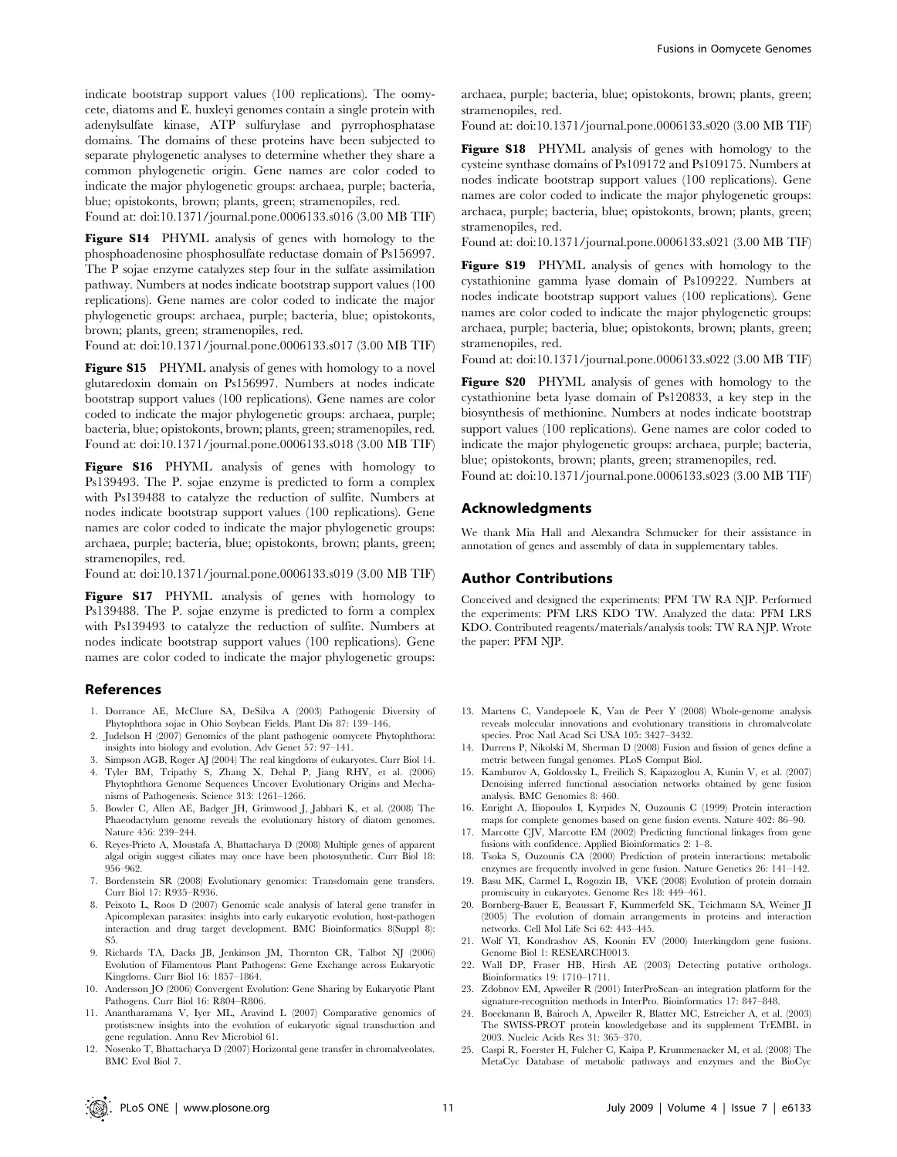indicate bootstrap support values (100 replications). The oomycete, diatoms and E. huxleyi genomes contain a single protein with adenylsulfate kinase, ATP sulfurylase and pyrrophosphatase domains. The domains of these proteins have been subjected to separate phylogenetic analyses to determine whether they share a common phylogenetic origin. Gene names are color coded to indicate the major phylogenetic groups: archaea, purple; bacteria, blue; opistokonts, brown; plants, green; stramenopiles, red.

Found at: doi:10.1371/journal.pone.0006133.s016 (3.00 MB TIF)

Figure S14 PHYML analysis of genes with homology to the phosphoadenosine phosphosulfate reductase domain of Ps156997. The P sojae enzyme catalyzes step four in the sulfate assimilation pathway. Numbers at nodes indicate bootstrap support values (100 replications). Gene names are color coded to indicate the major phylogenetic groups: archaea, purple; bacteria, blue; opistokonts, brown; plants, green; stramenopiles, red.

Found at: doi:10.1371/journal.pone.0006133.s017 (3.00 MB TIF)

Figure S15 PHYML analysis of genes with homology to a novel glutaredoxin domain on Ps156997. Numbers at nodes indicate bootstrap support values (100 replications). Gene names are color coded to indicate the major phylogenetic groups: archaea, purple; bacteria, blue; opistokonts, brown; plants, green; stramenopiles, red. Found at: doi:10.1371/journal.pone.0006133.s018 (3.00 MB TIF)

Figure S16 PHYML analysis of genes with homology to Ps139493. The P. sojae enzyme is predicted to form a complex with Ps139488 to catalyze the reduction of sulfite. Numbers at nodes indicate bootstrap support values (100 replications). Gene names are color coded to indicate the major phylogenetic groups: archaea, purple; bacteria, blue; opistokonts, brown; plants, green; stramenopiles, red.

Found at: doi:10.1371/journal.pone.0006133.s019 (3.00 MB TIF)

Figure S17 PHYML analysis of genes with homology to Ps139488. The P. sojae enzyme is predicted to form a complex with Ps139493 to catalyze the reduction of sulfite. Numbers at nodes indicate bootstrap support values (100 replications). Gene names are color coded to indicate the major phylogenetic groups:

## References

- 1. Dorrance AE, McClure SA, DeSilva A (2003) Pathogenic Diversity of Phytophthora sojae in Ohio Soybean Fields. Plant Dis 87: 139–146.
- 2. Judelson H (2007) Genomics of the plant pathogenic oomycete Phytophthora: insights into biology and evolution. Adv Genet 57: 97–141.
- 3. Simpson AGB, Roger AJ (2004) The real kingdoms of eukaryotes. Curr Biol 14.
- 4. Tyler BM, Tripathy S, Zhang X, Dehal P, Jiang RHY, et al. (2006) Phytophthora Genome Sequences Uncover Evolutionary Origins and Mechanisms of Pathogenesis. Science 313: 1261–1266.
- 5. Bowler C, Allen AE, Badger JH, Grimwood J, Jabbari K, et al. (2008) The Phaeodactylum genome reveals the evolutionary history of diatom genomes. Nature 456: 239–244.
- 6. Reyes-Prieto A, Moustafa A, Bhattacharya D (2008) Multiple genes of apparent algal origin suggest ciliates may once have been photosynthetic. Curr Biol 18: 956–962.
- 7. Bordenstein SR (2008) Evolutionary genomics: Transdomain gene transfers. Curr Biol 17: R935–R936.
- 8. Peixoto L, Roos D (2007) Genomic scale analysis of lateral gene transfer in Apicomplexan parasites: insights into early eukaryotic evolution, host-pathogen interaction and drug target development. BMC Bioinformatics 8(Suppl 8): S5.
- 9. Richards TA, Dacks JB, Jenkinson JM, Thornton CR, Talbot NJ (2006) Evolution of Filamentous Plant Pathogens: Gene Exchange across Eukaryotic Kingdoms. Curr Biol 16: 1857–1864.
- 10. Andersson JO (2006) Convergent Evolution: Gene Sharing by Eukaryotic Plant Pathogens. Curr Biol 16: R804–R806.
- 11. Anantharamana V, Iyer ML, Aravind L (2007) Comparative genomics of protists:new insights into the evolution of eukaryotic signal transduction and gene regulation. Annu Rev Microbiol 61.

archaea, purple; bacteria, blue; opistokonts, brown; plants, green; stramenopiles, red.

Found at: doi:10.1371/journal.pone.0006133.s020 (3.00 MB TIF)

Figure S18 PHYML analysis of genes with homology to the cysteine synthase domains of Ps109172 and Ps109175. Numbers at nodes indicate bootstrap support values (100 replications). Gene names are color coded to indicate the major phylogenetic groups: archaea, purple; bacteria, blue; opistokonts, brown; plants, green; stramenopiles, red.

Found at: doi:10.1371/journal.pone.0006133.s021 (3.00 MB TIF)

Figure S19 PHYML analysis of genes with homology to the cystathionine gamma lyase domain of Ps109222. Numbers at nodes indicate bootstrap support values (100 replications). Gene names are color coded to indicate the major phylogenetic groups: archaea, purple; bacteria, blue; opistokonts, brown; plants, green; stramenopiles, red.

Found at: doi:10.1371/journal.pone.0006133.s022 (3.00 MB TIF)

Figure S20 PHYML analysis of genes with homology to the cystathionine beta lyase domain of Ps120833, a key step in the biosynthesis of methionine. Numbers at nodes indicate bootstrap support values (100 replications). Gene names are color coded to indicate the major phylogenetic groups: archaea, purple; bacteria, blue; opistokonts, brown; plants, green; stramenopiles, red.

Found at: doi:10.1371/journal.pone.0006133.s023 (3.00 MB TIF)

## Acknowledgments

We thank Mia Hall and Alexandra Schmucker for their assistance in annotation of genes and assembly of data in supplementary tables.

#### Author Contributions

Conceived and designed the experiments: PFM TW RA NJP. Performed the experiments: PFM LRS KDO TW. Analyzed the data: PFM LRS KDO. Contributed reagents/materials/analysis tools: TW RA NJP. Wrote the paper: PFM NJP.

- 13. Martens C, Vandepoele K, Van de Peer Y (2008) Whole-genome analysis reveals molecular innovations and evolutionary transitions in chromalveolate species. Proc Natl Acad Sci USA 105: 3427–3432.
- 14. Durrens P, Nikolski M, Sherman D (2008) Fusion and fission of genes define a metric between fungal genomes. PLoS Comput Biol.
- 15. Kamburov A, Goldovsky L, Freilich S, Kapazoglou A, Kunin V, et al. (2007) Denoising inferred functional association networks obtained by gene fusion analysis. BMC Genomics 8: 460.
- 16. Enright A, Iliopoulos I, Kyrpides N, Ouzounis C (1999) Protein interaction maps for complete genomes based on gene fusion events. Nature 402: 86–90.
- 17. Marcotte CJV, Marcotte EM (2002) Predicting functional linkages from gene fusions with confidence. Applied Bioinformatics 2: 1–8.
- 18. Tsoka S, Ouzounis CA (2000) Prediction of protein interactions: metabolic enzymes are frequently involved in gene fusion. Nature Genetics 26: 141–142.
- 19. Basu MK, Carmel L, Rogozin IB, VKE (2008) Evolution of protein domain promiscuity in eukaryotes. Genome Res 18: 449–461.
- 20. Bornberg-Bauer E, Beaussart F, Kummerfeld SK, Teichmann SA, Weiner JI (2005) The evolution of domain arrangements in proteins and interaction networks. Cell Mol Life Sci 62: 443–445.
- 21. Wolf YI, Kondrashov AS, Koonin EV (2000) Interkingdom gene fusions. Genome Biol 1: RESEARCH0013.
- 22. Wall DP, Fraser HB, Hirsh AE (2003) Detecting putative orthologs. Bioinformatics 19: 1710–1711.
- 23. Zdobnov EM, Apweiler R (2001) InterProScan–an integration platform for the signature-recognition methods in InterPro. Bioinformatics 17: 847–848.
- 24. Boeckmann B, Bairoch A, Apweiler R, Blatter MC, Estreicher A, et al. (2003) The SWISS-PROT protein knowledgebase and its supplement TrEMBL in 2003. Nucleic Acids Res 31: 365–370.
- 25. Caspi R, Foerster H, Fulcher C, Kaipa P, Krummenacker M, et al. (2008) The MetaCyc Database of metabolic pathways and enzymes and the BioCyc